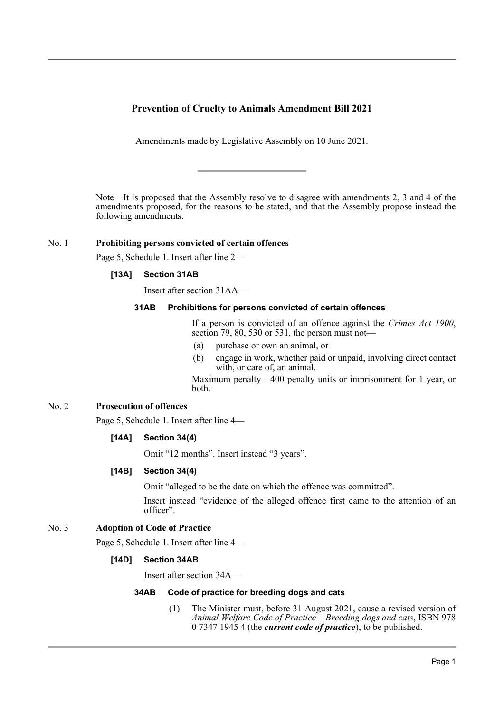## **Prevention of Cruelty to Animals Amendment Bill 2021**

Amendments made by Legislative Assembly on 10 June 2021.

Note—It is proposed that the Assembly resolve to disagree with amendments 2, 3 and 4 of the amendments proposed, for the reasons to be stated, and that the Assembly propose instead the following amendments.

#### No. 1 **Prohibiting persons convicted of certain offences**

Page 5, Schedule 1. Insert after line 2—

### **[13A] Section 31AB**

Insert after section 31AA—

#### **31AB Prohibitions for persons convicted of certain offences**

If a person is convicted of an offence against the *Crimes Act 1900*, section 79, 80, 530 or 531, the person must not—

- (a) purchase or own an animal, or
- (b) engage in work, whether paid or unpaid, involving direct contact with, or care of, an animal.

Maximum penalty—400 penalty units or imprisonment for 1 year, or both.

# No. 2 **Prosecution of offences**

Page 5, Schedule 1. Insert after line 4—

#### **[14A] Section 34(4)**

Omit "12 months". Insert instead "3 years".

#### **[14B] Section 34(4)**

Omit "alleged to be the date on which the offence was committed".

Insert instead "evidence of the alleged offence first came to the attention of an officer".

### No. 3 **Adoption of Code of Practice**

Page 5, Schedule 1. Insert after line 4—

#### **[14D] Section 34AB**

Insert after section 34A—

#### **34AB Code of practice for breeding dogs and cats**

(1) The Minister must, before 31 August 2021, cause a revised version of *Animal Welfare Code of Practice – Breeding dogs and cats*, ISBN 978 0 7347 1945 4 (the *current code of practice*), to be published.